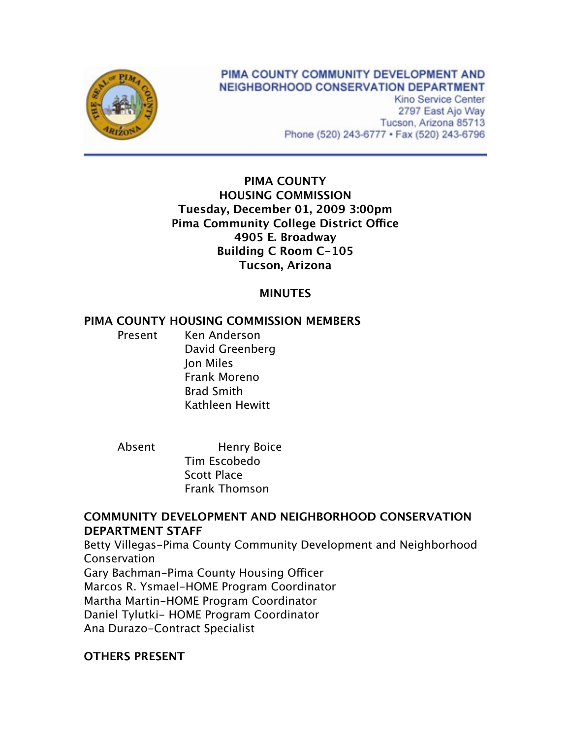

# PIMA COUNTY COMMUNITY DEVELOPMENT AND NEIGHBORHOOD CONSERVATION DEPARTMENT

Kino Service Center 2797 East Ajo Way Tucson, Arizona 85713 Phone (520) 243-6777 · Fax (520) 243-6796

## **PIMA COUNTY HOUSING COMMISSION Tuesday, December 01, 2009 3:00pm Pima Community College District Office 4905 E. Broadway Building C Room C-105 Tucson, Arizona**

## **MINUTES**

#### **PIMA COUNTY HOUSING COMMISSION MEMBERS**

Present Ken Anderson David Greenberg Jon Miles Frank Moreno Brad Smith Kathleen Hewitt

Absent Henry Boice Tim Escobedo Scott Place Frank Thomson

#### **COMMUNITY DEVELOPMENT AND NEIGHBORHOOD CONSERVATION DEPARTMENT STAFF**

Betty Villegas-Pima County Community Development and Neighborhood Conservation

Gary Bachman-Pima County Housing Officer Marcos R. Ysmael-HOME Program Coordinator Martha Martin-HOME Program Coordinator Daniel Tylutki- HOME Program Coordinator Ana Durazo-Contract Specialist

# **OTHERS PRESENT**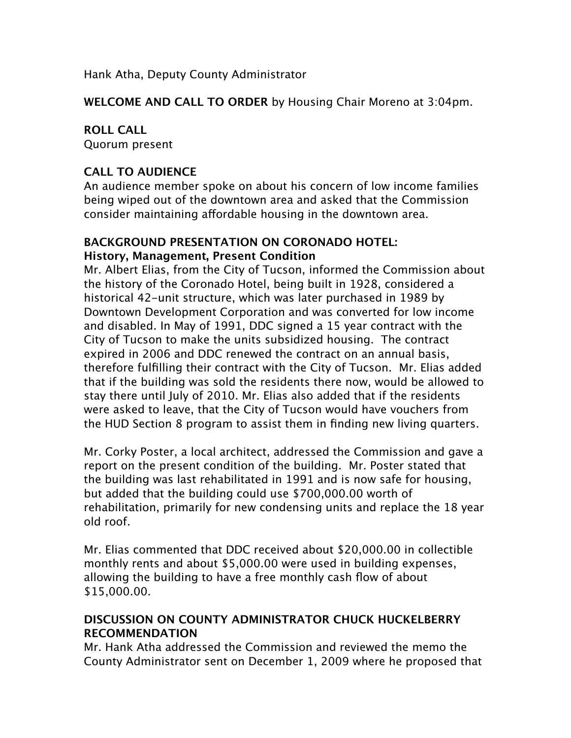Hank Atha, Deputy County Administrator

**WELCOME AND CALL TO ORDER** by Housing Chair Moreno at 3:04pm.

# **ROLL CALL**

Quorum present

## **CALL TO AUDIENCE**

An audience member spoke on about his concern of low income families being wiped out of the downtown area and asked that the Commission consider maintaining affordable housing in the downtown area.

# **BACKGROUND PRESENTATION ON CORONADO HOTEL: History, Management, Present Condition**

Mr. Albert Elias, from the City of Tucson, informed the Commission about the history of the Coronado Hotel, being built in 1928, considered a historical 42-unit structure, which was later purchased in 1989 by Downtown Development Corporation and was converted for low income and disabled. In May of 1991, DDC signed a 15 year contract with the City of Tucson to make the units subsidized housing. The contract expired in 2006 and DDC renewed the contract on an annual basis, therefore fulfilling their contract with the City of Tucson. Mr. Elias added that if the building was sold the residents there now, would be allowed to stay there until July of 2010. Mr. Elias also added that if the residents were asked to leave, that the City of Tucson would have vouchers from the HUD Section 8 program to assist them in finding new living quarters.

Mr. Corky Poster, a local architect, addressed the Commission and gave a report on the present condition of the building. Mr. Poster stated that the building was last rehabilitated in 1991 and is now safe for housing, but added that the building could use \$700,000.00 worth of rehabilitation, primarily for new condensing units and replace the 18 year old roof.

Mr. Elias commented that DDC received about \$20,000.00 in collectible monthly rents and about \$5,000.00 were used in building expenses, allowing the building to have a free monthly cash flow of about \$15,000.00.

# **DISCUSSION ON COUNTY ADMINISTRATOR CHUCK HUCKELBERRY RECOMMENDATION**

Mr. Hank Atha addressed the Commission and reviewed the memo the County Administrator sent on December 1, 2009 where he proposed that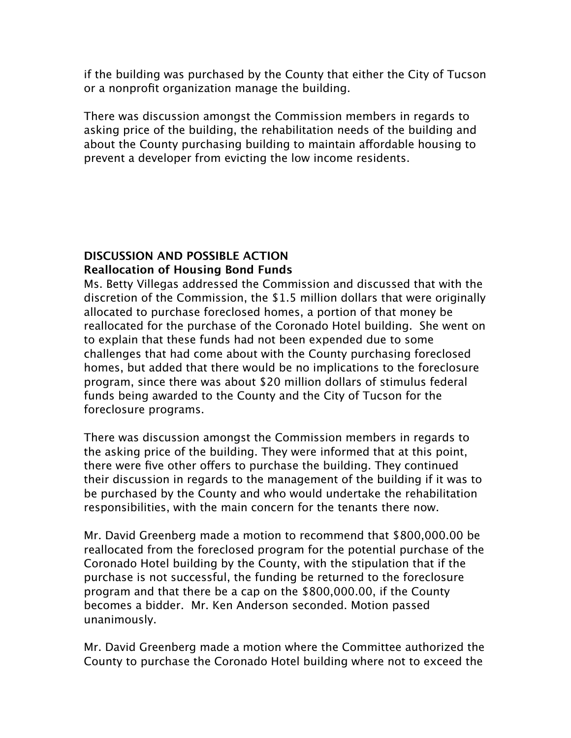if the building was purchased by the County that either the City of Tucson or a nonprofit organization manage the building.

There was discussion amongst the Commission members in regards to asking price of the building, the rehabilitation needs of the building and about the County purchasing building to maintain affordable housing to prevent a developer from evicting the low income residents.

#### **DISCUSSION AND POSSIBLE ACTION Reallocation of Housing Bond Funds**

Ms. Betty Villegas addressed the Commission and discussed that with the discretion of the Commission, the \$1.5 million dollars that were originally allocated to purchase foreclosed homes, a portion of that money be reallocated for the purchase of the Coronado Hotel building. She went on to explain that these funds had not been expended due to some challenges that had come about with the County purchasing foreclosed homes, but added that there would be no implications to the foreclosure program, since there was about \$20 million dollars of stimulus federal funds being awarded to the County and the City of Tucson for the foreclosure programs.

There was discussion amongst the Commission members in regards to the asking price of the building. They were informed that at this point, there were five other offers to purchase the building. They continued their discussion in regards to the management of the building if it was to be purchased by the County and who would undertake the rehabilitation responsibilities, with the main concern for the tenants there now.

Mr. David Greenberg made a motion to recommend that \$800,000.00 be reallocated from the foreclosed program for the potential purchase of the Coronado Hotel building by the County, with the stipulation that if the purchase is not successful, the funding be returned to the foreclosure program and that there be a cap on the \$800,000.00, if the County becomes a bidder. Mr. Ken Anderson seconded. Motion passed unanimously.

Mr. David Greenberg made a motion where the Committee authorized the County to purchase the Coronado Hotel building where not to exceed the